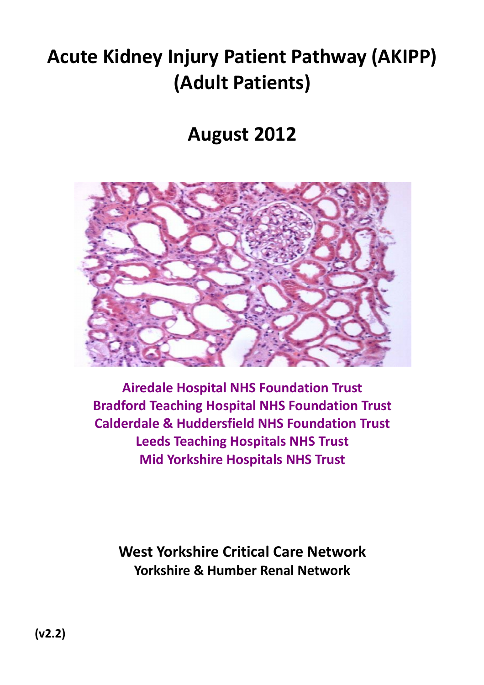# Acute Kidney Injury Patient Pathway (AKIPP) (Adult Patients)

# August 2012



Airedale Hospital NHS Foundation Trust Bradford Teaching Hospital NHS Foundation Trust Calderdale & Huddersfield NHS Foundation Trust Leeds Teaching Hospitals NHS Trust Mid Yorkshire Hospitals NHS Trust

West Yorkshire Critical Care Network Yorkshire & Humber Renal Network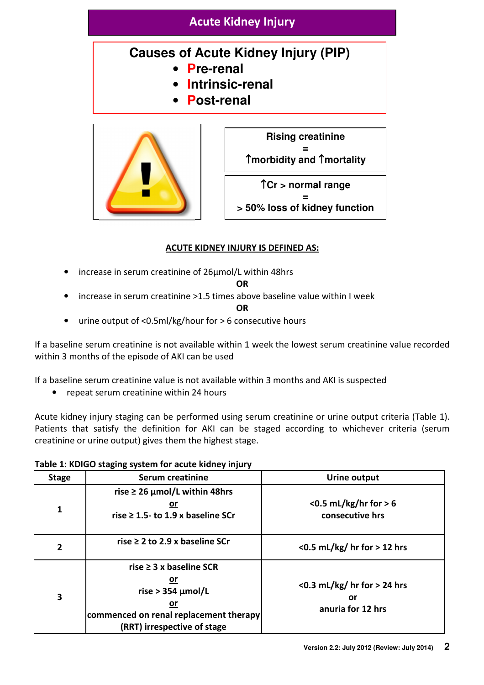## Acute Kidney Injury

# **Causes of Acute Kidney Injury (PIP)**

- **Pre-renal**
- **Intrinsic-renal**
- **Post-renal**





**> 50% loss of kidney function** 

## ACUTE KIDNEY INJURY IS DEFINED AS:

• increase in serum creatinine of 26µmol/L within 48hrs

#### OR

• increase in serum creatinine >1.5 times above baseline value within I week

**OR** 

• urine output of <0.5ml/kg/hour for > 6 consecutive hours

If a baseline serum creatinine is not available within 1 week the lowest serum creatinine value recorded within 3 months of the episode of AKI can be used

If a baseline serum creatinine value is not available within 3 months and AKI is suspected

• repeat serum creatinine within 24 hours

Acute kidney injury staging can be performed using serum creatinine or urine output criteria (Table 1). Patients that satisfy the definition for AKI can be staged according to whichever criteria (serum creatinine or urine output) gives them the highest stage.

## Table 1: KDIGO staging system for acute kidney injury Stage | Serum creatinine | Urine output rise > 26 umol/L within 48hrs or

| 1            | $1.3C \approx 40$ particle within $-0.003$<br>or<br>rise $\geq$ 1.5- to 1.9 x baseline SCr                                                  | $<$ 0.5 mL/kg/hr for $>$ 6<br>consecutive hrs               |
|--------------|---------------------------------------------------------------------------------------------------------------------------------------------|-------------------------------------------------------------|
| $\mathbf{2}$ | rise $\geq$ 2 to 2.9 x baseline SCr                                                                                                         | $<$ 0.5 mL/kg/ hr for $>$ 12 hrs                            |
| 3            | rise $\geq$ 3 x baseline SCR<br>or<br>rise > 354 $\mu$ mol/L<br>or<br>commenced on renal replacement therapy<br>(RRT) irrespective of stage | $<$ 0.3 mL/kg/ hr for $>$ 24 hrs<br>Οľ<br>anuria for 12 hrs |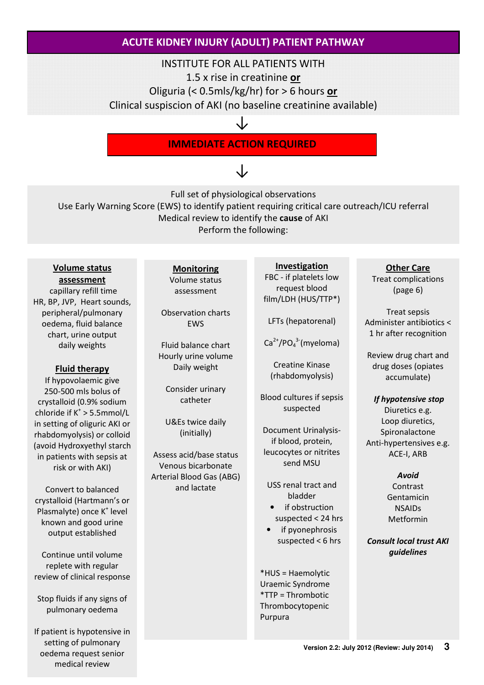## ACUTE KIDNEY INJURY (ADULT) PATIENT PATHWAY

#### INSTITUTE FOR ALL PATIENTS WITH

1.5 x rise in creatinine or

Oliguria (< 0.5mls/kg/hr) for > 6 hours or

Clinical suspiscion of AKI (no baseline creatinine available)

↓

## IMMEDIATE ACTION REQUIRED

# ↓

Full set of physiological observations

Use Early Warning Score (EWS) to identify patient requiring critical care outreach/ICU referral Medical review to identify the cause of AKI Perform the following:

#### Volume status assessment

capillary refill time HR, BP, JVP, Heart sounds, peripheral/pulmonary oedema, fluid balance chart, urine output daily weights

#### Fluid therapy

If hypovolaemic give 250-500 mls bolus of crystalloid (0.9% sodium chloride if  $K^* > 5.5$ mmol/L in setting of oliguric AKI or rhabdomyolysis) or colloid (avoid Hydroxyethyl starch in patients with sepsis at risk or with AKI)

Convert to balanced crystalloid (Hartmann's or Plasmalyte) once K<sup>+</sup> level known and good urine output established

Continue until volume replete with regular review of clinical response

Stop fluids if any signs of pulmonary oedema

If patient is hypotensive in setting of pulmonary oedema request senior medical review

Monitoring Volume status assessment

Observation charts EWS

Fluid balance chart Hourly urine volume Daily weight

Consider urinary catheter

U&Es twice daily (initially)

Assess acid/base status Venous bicarbonate Arterial Blood Gas (ABG) and lactate

## Investigation

FBC - if platelets low request blood film/LDH (HUS/TTP\*)

LFTs (hepatorenal)

 $Ca<sup>2+</sup>/PO<sub>4</sub><sup>3-</sup>(myeloma)$ 

Creatine Kinase (rhabdomyolysis)

Blood cultures if sepsis suspected

Document Urinalysisif blood, protein, leucocytes or nitrites send MSU

USS renal tract and bladder

- if obstruction suspected < 24 hrs
- if pyonephrosis suspected < 6 hrs

\*HUS = Haemolytic Uraemic Syndrome \*TTP = Thrombotic Thrombocytopenic Purpura

#### Other Care

Treat complications (page 6)

Treat sepsis Administer antibiotics < 1 hr after recognition

Review drug chart and drug doses (opiates accumulate)

If hypotensive stop Diuretics e.g. Loop diuretics, Spironalactone Anti-hypertensives e.g. ACE-I, ARB

## Avoid

Contrast Gentamicin NSAIDs Metformin

Consult local trust AKI guidelines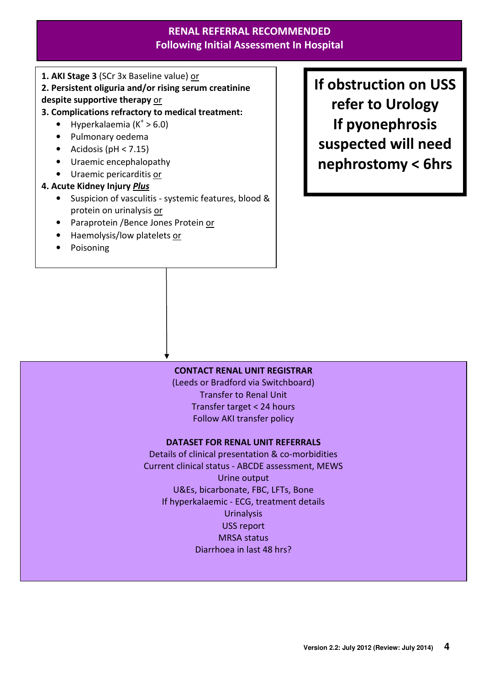## RENAL REFERRAL RECOMMENDED Following Initial Assessment In Hospital

1. AKI Stage 3 (SCr 3x Baseline value) or

2. Persistent oliguria and/or rising serum creatinine

#### despite supportive therapy or

- 3. Complications refractory to medical treatment:
	- Hyperkalaemia ( $K^+ > 6.0$ )
	- Pulmonary oedema
	- Acidosis ( $pH < 7.15$ )
	- Uraemic encephalopathy
	- Uraemic pericarditis or

#### 4. Acute Kidney Injury Plus

- Suspicion of vasculitis systemic features, blood & protein on urinalysis or
- Paraprotein / Bence Jones Protein or
- Haemolysis/low platelets or
- **Poisoning**

If obstruction on USS refer to Urology If pyonephrosis suspected will need nephrostomy < 6hrs

#### CONTACT RENAL UNIT REGISTRAR

(Leeds or Bradford via Switchboard) Transfer to Renal Unit Transfer target < 24 hours Follow AKI transfer policy

#### DATASET FOR RENAL UNIT REFERRALS

Details of clinical presentation & co-morbidities Current clinical status - ABCDE assessment, MEWS Urine output U&Es, bicarbonate, FBC, LFTs, Bone If hyperkalaemic - ECG, treatment details **Urinalysis** USS report MRSA status Diarrhoea in last 48 hrs?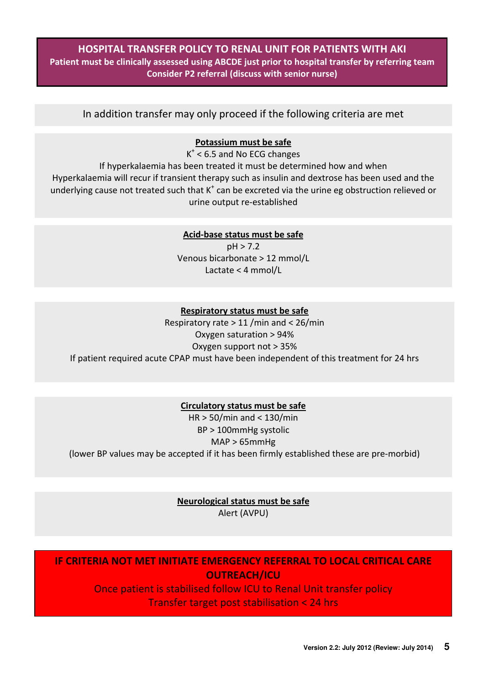## HOSPITAL TRANSFER POLICY TO RENAL UNIT FOR PATIENTS WITH AKI Patient must be clinically assessed using ABCDE just prior to hospital transfer by referring team Consider P2 referral (discuss with senior nurse)

In addition transfer may only proceed if the following criteria are met

#### Potassium must be safe

 $K^*$  < 6.5 and No ECG changes If hyperkalaemia has been treated it must be determined how and when Hyperkalaemia will recur if transient therapy such as insulin and dextrose has been used and the underlying cause not treated such that  $K^+$  can be excreted via the urine eg obstruction relieved or urine output re-established

#### Acid-base status must be safe

pH > 7.2 Venous bicarbonate > 12 mmol/L Lactate < 4 mmol/L

#### Respiratory status must be safe

Respiratory rate > 11 /min and < 26/min Oxygen saturation > 94% Oxygen support not > 35% If patient required acute CPAP must have been independent of this treatment for 24 hrs

#### Circulatory status must be safe

HR > 50/min and < 130/min BP > 100mmHg systolic MAP > 65mmHg (lower BP values may be accepted if it has been firmly established these are pre-morbid)

> Neurological status must be safe Alert (AVPU)

IF CRITERIA NOT MET INITIATE EMERGENCY REFERRAL TO LOCAL CRITICAL CARE OUTREACH/ICU

Once patient is stabilised follow ICU to Renal Unit transfer policy Transfer target post stabilisation < 24 hrs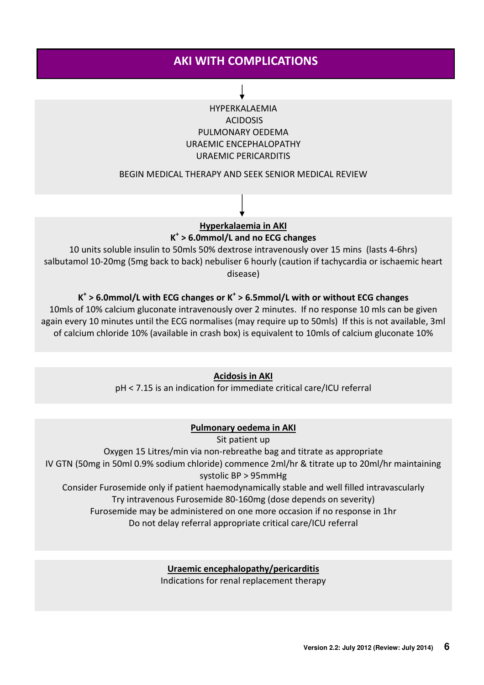## AKI WITH COMPLICATIONS

## HYPERKALAEMIA ACIDOSIS PULMONARY OEDEMA URAEMIC ENCEPHALOPATHY URAEMIC PERICARDITIS

#### BEGIN MEDICAL THERAPY AND SEEK SENIOR MEDICAL REVIEW

### Hyperkalaemia in AKI K + > 6.0mmol/L and no ECG changes

10 units soluble insulin to 50mls 50% dextrose intravenously over 15 mins (lasts 4-6hrs) salbutamol 10-20mg (5mg back to back) nebuliser 6 hourly (caution if tachycardia or ischaemic heart disease)

## $K^+$  > 6.0mmol/L with ECG changes or  $K^+$  > 6.5mmol/L with or without ECG changes

10mls of 10% calcium gluconate intravenously over 2 minutes. If no response 10 mls can be given again every 10 minutes until the ECG normalises (may require up to 50mls) If this is not available, 3ml of calcium chloride 10% (available in crash box) is equivalent to 10mls of calcium gluconate 10%

#### Acidosis in AKI

pH < 7.15 is an indication for immediate critical care/ICU referral

#### Pulmonary oedema in AKI

#### Sit patient up

Oxygen 15 Litres/min via non-rebreathe bag and titrate as appropriate IV GTN (50mg in 50ml 0.9% sodium chloride) commence 2ml/hr & titrate up to 20ml/hr maintaining systolic BP > 95mmHg Consider Furosemide only if patient haemodynamically stable and well filled intravascularly Try intravenous Furosemide 80-160mg (dose depends on severity)

Furosemide may be administered on one more occasion if no response in 1hr

Do not delay referral appropriate critical care/ICU referral

#### Uraemic encephalopathy/pericarditis

Indications for renal replacement therapy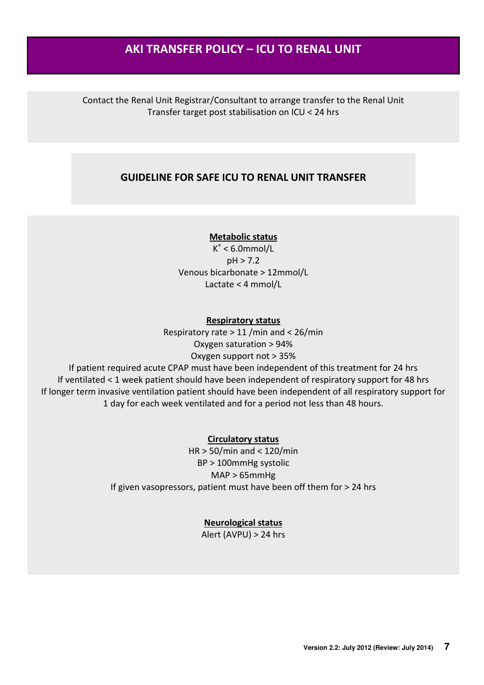## AKI TRANSFER POLICY – ICU TO RENAL UNIT

Contact the Renal Unit Registrar/Consultant to arrange transfer to the Renal Unit Transfer target post stabilisation on ICU < 24 hrs

## GUIDELINE FOR SAFE ICU TO RENAL UNIT TRANSFER

#### Metabolic status

 $K^+$  < 6.0mmol/L pH > 7.2 Venous bicarbonate > 12mmol/L Lactate < 4 mmol/L

#### Respiratory status

Respiratory rate > 11 /min and < 26/min Oxygen saturation > 94% Oxygen support not > 35%

If patient required acute CPAP must have been independent of this treatment for 24 hrs If ventilated < 1 week patient should have been independent of respiratory support for 48 hrs If longer term invasive ventilation patient should have been independent of all respiratory support for 1 day for each week ventilated and for a period not less than 48 hours.

#### Circulatory status

HR > 50/min and < 120/min BP > 100mmHg systolic MAP > 65mmHg If given vasopressors, patient must have been off them for > 24 hrs

#### Neurological status

Alert (AVPU) > 24 hrs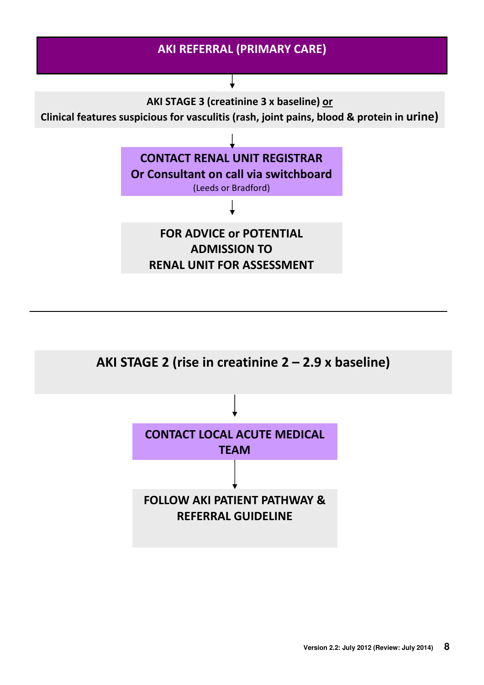

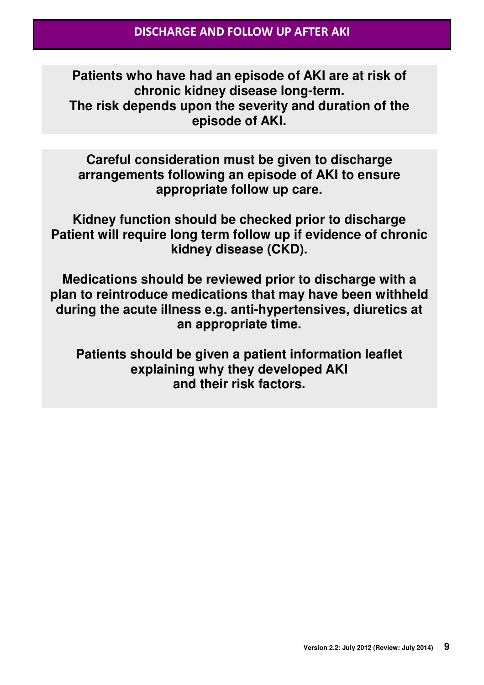**Patients who have had an episode of AKI are at risk of chronic kidney disease long-term. The risk depends upon the severity and duration of the episode of AKI.** 

**Careful consideration must be given to discharge arrangements following an episode of AKI to ensure appropriate follow up care.** 

**Kidney function should be checked prior to discharge Patient will require long term follow up if evidence of chronic kidney disease (CKD).** 

**Medications should be reviewed prior to discharge with a plan to reintroduce medications that may have been withheld during the acute illness e.g. anti-hypertensives, diuretics at an appropriate time.** 

**Patients should be given a patient information leaflet explaining why they developed AKI and their risk factors.**